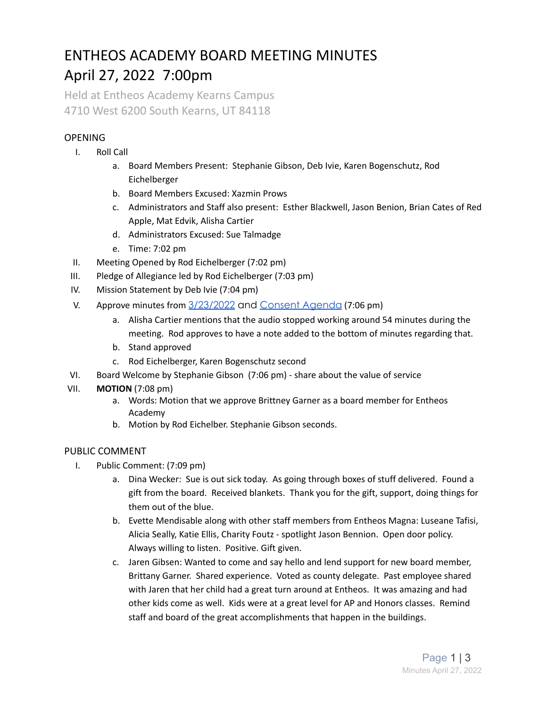# ENTHEOS ACADEMY BOARD MEETING MINUTES April 27, 2022 7:00pm

Held at Entheos Academy Kearns Campus 4710 West 6200 South Kearns, UT 84118

## OPENING

- I. Roll Call
	- a. Board Members Present: Stephanie Gibson, Deb Ivie, Karen Bogenschutz, Rod Eichelberger
	- b. Board Members Excused: Xazmin Prows
	- c. Administrators and Staff also present: Esther Blackwell, Jason Benion, Brian Cates of Red Apple, Mat Edvik, Alisha Cartier
	- d. Administrators Excused: Sue Talmadge
	- e. Time: 7:02 pm
- II. Meeting Opened by Rod Eichelberger (7:02 pm)
- III. Pledge of Allegiance led by Rod Eichelberger (7:03 pm)
- IV. Mission Statement by Deb Ivie (7:04 pm)
- V. Approve minutes from [3/23/2022](https://drive.google.com/drive/u/3/folders/1E3qRon0DdET0C1Wq7Fajml4-dQ5KCCsM) and [Consent](https://docs.google.com/document/d/1MXG0rIL8R9iwIqv2ZiMgokk925SKAy1_32kN1aSxnqY/edit#) Agenda (7:06 pm)
	- a. Alisha Cartier mentions that the audio stopped working around 54 minutes during the meeting. Rod approves to have a note added to the bottom of minutes regarding that.
	- b. Stand approved
	- c. Rod Eichelberger, Karen Bogenschutz second
- VI. Board Welcome by Stephanie Gibson (7:06 pm) share about the value of service
- VII. **MOTION** (7:08 pm)
	- a. Words: Motion that we approve Brittney Garner as a board member for Entheos Academy
	- b. Motion by Rod Eichelber. Stephanie Gibson seconds.

### PUBLIC COMMENT

- I. Public Comment: (7:09 pm)
	- a. Dina Wecker: Sue is out sick today. As going through boxes of stuff delivered. Found a gift from the board. Received blankets. Thank you for the gift, support, doing things for them out of the blue.
	- b. Evette Mendisable along with other staff members from Entheos Magna: Luseane Tafisi, Alicia Seally, Katie Ellis, Charity Foutz - spotlight Jason Bennion. Open door policy. Always willing to listen. Positive. Gift given.
	- c. Jaren Gibsen: Wanted to come and say hello and lend support for new board member, Brittany Garner. Shared experience. Voted as county delegate. Past employee shared with Jaren that her child had a great turn around at Entheos. It was amazing and had other kids come as well. Kids were at a great level for AP and Honors classes. Remind staff and board of the great accomplishments that happen in the buildings.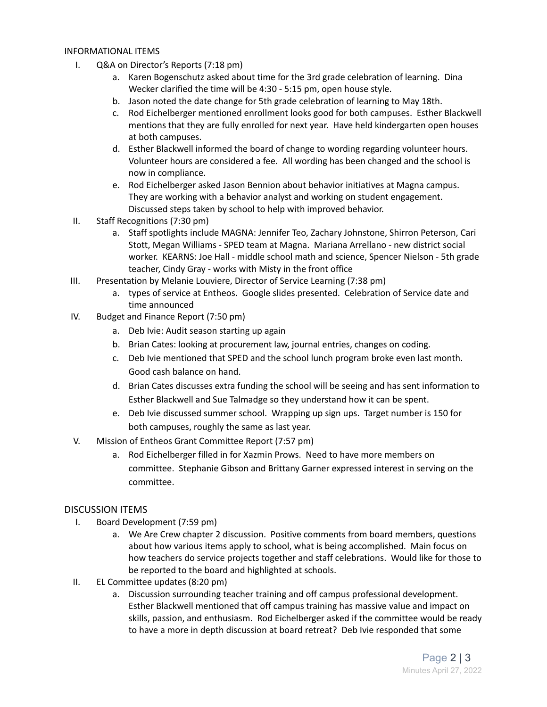#### INFORMATIONAL ITEMS

- I. Q&A on Director's Reports (7:18 pm)
	- a. Karen Bogenschutz asked about time for the 3rd grade celebration of learning. Dina Wecker clarified the time will be 4:30 - 5:15 pm, open house style.
	- b. Jason noted the date change for 5th grade celebration of learning to May 18th.
	- c. Rod Eichelberger mentioned enrollment looks good for both campuses. Esther Blackwell mentions that they are fully enrolled for next year. Have held kindergarten open houses at both campuses.
	- d. Esther Blackwell informed the board of change to wording regarding volunteer hours. Volunteer hours are considered a fee. All wording has been changed and the school is now in compliance.
	- e. Rod Eichelberger asked Jason Bennion about behavior initiatives at Magna campus. They are working with a behavior analyst and working on student engagement. Discussed steps taken by school to help with improved behavior.
- II. Staff Recognitions (7:30 pm)
	- a. Staff spotlights include MAGNA: Jennifer Teo, Zachary Johnstone, Shirron Peterson, Cari Stott, Megan Williams - SPED team at Magna. Mariana Arrellano - new district social worker. KEARNS: Joe Hall - middle school math and science, Spencer Nielson - 5th grade teacher, Cindy Gray - works with Misty in the front office
- III. Presentation by Melanie Louviere, Director of Service Learning (7:38 pm)
	- a. types of service at Entheos. Google slides presented. Celebration of Service date and time announced
- IV. Budget and Finance Report (7:50 pm)
	- a. Deb Ivie: Audit season starting up again
	- b. Brian Cates: looking at procurement law, journal entries, changes on coding.
	- c. Deb Ivie mentioned that SPED and the school lunch program broke even last month. Good cash balance on hand.
	- d. Brian Cates discusses extra funding the school will be seeing and has sent information to Esther Blackwell and Sue Talmadge so they understand how it can be spent.
	- e. Deb Ivie discussed summer school. Wrapping up sign ups. Target number is 150 for both campuses, roughly the same as last year.
- V. Mission of Entheos Grant Committee Report (7:57 pm)
	- a. Rod Eichelberger filled in for Xazmin Prows. Need to have more members on committee. Stephanie Gibson and Brittany Garner expressed interest in serving on the committee.

#### DISCUSSION ITEMS

- I. Board Development (7:59 pm)
	- a. We Are Crew chapter 2 discussion. Positive comments from board members, questions about how various items apply to school, what is being accomplished. Main focus on how teachers do service projects together and staff celebrations. Would like for those to be reported to the board and highlighted at schools.
- II. EL Committee updates (8:20 pm)
	- a. Discussion surrounding teacher training and off campus professional development. Esther Blackwell mentioned that off campus training has massive value and impact on skills, passion, and enthusiasm. Rod Eichelberger asked if the committee would be ready to have a more in depth discussion at board retreat? Deb Ivie responded that some